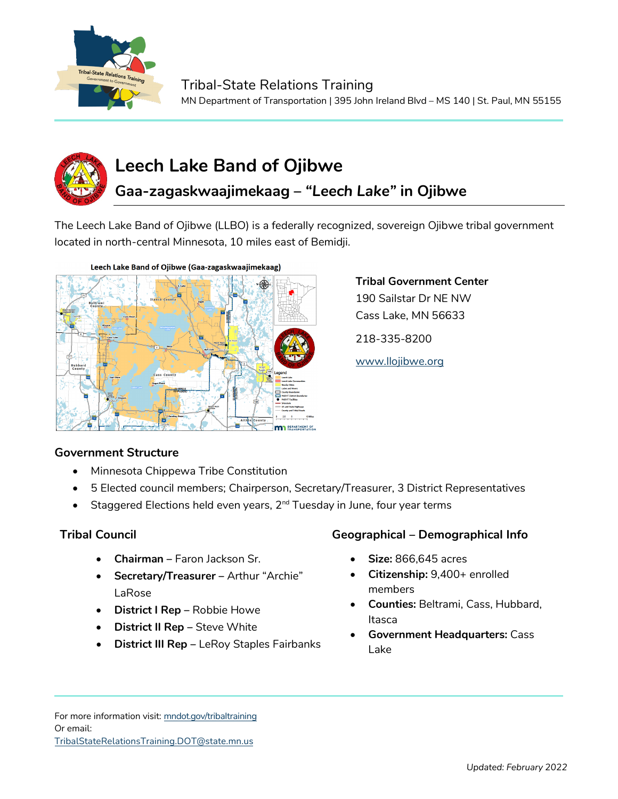



# **Leech Lake Band of Ojibwe**

## **Gaa-zagaskwaajimekaag –** *"Leech Lake"* **in Ojibwe**

The Leech Lake Band of Ojibwe (LLBO) is a federally recognized, sovereign Ojibwe tribal government located in north-central Minnesota, 10 miles east of Bemidji.



#### **Government Structure**

- Minnesota Chippewa Tribe Constitution
- 5 Elected council members; Chairperson, Secretary/Treasurer, 3 District Representatives
- Staggered Elections held even years, 2<sup>nd</sup> Tuesday in June, four year terms

- **Chairman –** Faron Jackson Sr.
- **Secretary/Treasurer –** Arthur "Archie" LaRose
- **District I Rep –** Robbie Howe
- **District II Rep –** Steve White
- **District III Rep** LeRoy Staples Fairbanks

### **Tribal Council Geographical – Demographical Info**

**Tribal Government Center** 190 Sailstar Dr NE NW Cass Lake, MN 56633

218-335-8200

[www.llojibwe.org](http://www.llojibwe.org/)

- **Size:** 866,645 acres
- **Citizenship:** 9,400+ enrolled members
- **Counties:** Beltrami, Cass, Hubbard, Itasca
- **Government Headquarters:** Cass Lake

For more information visit: mndot.gov/tribaltraining Or email: TribalStateRelationsTraining.DOT@state.mn.us